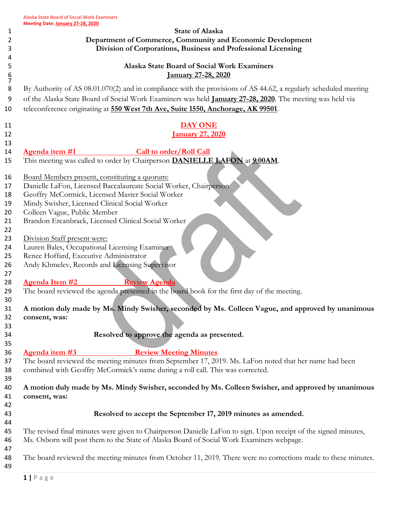|                                                  | <b>State of Alaska</b>                                                                                                                                                                                                                                                                                                     |
|--------------------------------------------------|----------------------------------------------------------------------------------------------------------------------------------------------------------------------------------------------------------------------------------------------------------------------------------------------------------------------------|
|                                                  | Department of Commerce, Community and Economic Development                                                                                                                                                                                                                                                                 |
|                                                  | Division of Corporations, Business and Professional Licensing                                                                                                                                                                                                                                                              |
|                                                  | Alaska State Board of Social Work Examiners                                                                                                                                                                                                                                                                                |
|                                                  | <u>January 27-28, 2020</u>                                                                                                                                                                                                                                                                                                 |
|                                                  |                                                                                                                                                                                                                                                                                                                            |
|                                                  | By Authority of AS 08.01.070(2) and in compliance with the provisions of AS 44.62, a regularly scheduled meeting                                                                                                                                                                                                           |
|                                                  | of the Alaska State Board of Social Work Examiners was held January 27-28, 2020. The meeting was held via                                                                                                                                                                                                                  |
|                                                  | teleconference originating at 550 West 7th Ave, Suite 1550, Anchorage, AK 99501.                                                                                                                                                                                                                                           |
|                                                  | <b>DAY ONE</b>                                                                                                                                                                                                                                                                                                             |
|                                                  | <b>January 27, 2020</b>                                                                                                                                                                                                                                                                                                    |
|                                                  |                                                                                                                                                                                                                                                                                                                            |
| Agenda item #1                                   | <b>Call to order/Roll Call</b>                                                                                                                                                                                                                                                                                             |
|                                                  | This meeting was called to order by Chairperson <b>DANIELLE LAFON</b> at 9:00AM.                                                                                                                                                                                                                                           |
| Board Members present, constituting a quorum:    |                                                                                                                                                                                                                                                                                                                            |
|                                                  | Danielle LaFon, Licensed Baccalaureate Social Worker, Chairperson                                                                                                                                                                                                                                                          |
| Geoffry McCormick, Licensed Master Social Worker |                                                                                                                                                                                                                                                                                                                            |
| Mindy Swisher, Licensed Clinical Social Worker   |                                                                                                                                                                                                                                                                                                                            |
| Colleen Vague, Public Member                     |                                                                                                                                                                                                                                                                                                                            |
|                                                  | Brandon Ercanbrack, Licensed Clinical Social Worker                                                                                                                                                                                                                                                                        |
|                                                  |                                                                                                                                                                                                                                                                                                                            |
| Division Staff present were:                     |                                                                                                                                                                                                                                                                                                                            |
| Lauren Bales, Occupational Licensing Examiner    |                                                                                                                                                                                                                                                                                                                            |
| Renee Hoffard, Executive Administrator           |                                                                                                                                                                                                                                                                                                                            |
| Andy Khmelev, Records and Licensing Supervisor   |                                                                                                                                                                                                                                                                                                                            |
| <b>Agenda Item #2</b>                            |                                                                                                                                                                                                                                                                                                                            |
|                                                  |                                                                                                                                                                                                                                                                                                                            |
|                                                  | <b>Review Agenda</b>                                                                                                                                                                                                                                                                                                       |
|                                                  | The board reviewed the agenda presented in the board book for the first day of the meeting.                                                                                                                                                                                                                                |
|                                                  |                                                                                                                                                                                                                                                                                                                            |
|                                                  |                                                                                                                                                                                                                                                                                                                            |
|                                                  |                                                                                                                                                                                                                                                                                                                            |
|                                                  | Resolved to approve the agenda as presented.                                                                                                                                                                                                                                                                               |
|                                                  |                                                                                                                                                                                                                                                                                                                            |
|                                                  | <b>Review Meeting Minutes</b>                                                                                                                                                                                                                                                                                              |
|                                                  | The board reviewed the meeting minutes from September 17, 2019. Ms. LaFon noted that her name had been                                                                                                                                                                                                                     |
|                                                  | combined with Geoffry McCormick's name during a roll call. This was corrected.                                                                                                                                                                                                                                             |
|                                                  |                                                                                                                                                                                                                                                                                                                            |
|                                                  |                                                                                                                                                                                                                                                                                                                            |
|                                                  |                                                                                                                                                                                                                                                                                                                            |
|                                                  | Resolved to accept the September 17, 2019 minutes as amended.                                                                                                                                                                                                                                                              |
| consent, was:<br>Agenda item #3<br>consent, was: |                                                                                                                                                                                                                                                                                                                            |
|                                                  | The revised final minutes were given to Chairperson Danielle LaFon to sign. Upon receipt of the signed minutes,                                                                                                                                                                                                            |
|                                                  | Ms. Osborn will post them to the State of Alaska Board of Social Work Examiners webpage.                                                                                                                                                                                                                                   |
|                                                  | A motion duly made by Ms. Mindy Swisher, seconded by Ms. Colleen Vague, and approved by unanimous<br>A motion duly made by Ms. Mindy Swisher, seconded by Ms. Colleen Swisher, and approved by unanimous<br>The board reviewed the meeting minutes from October 11, 2019. There were no corrections made to these minutes. |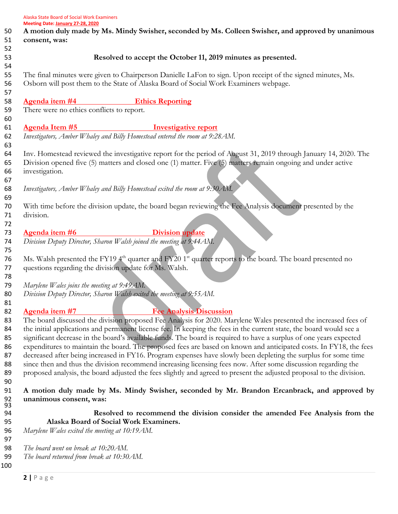|     | Meeting Date: January 27-28, 2020                                                                                                  |
|-----|------------------------------------------------------------------------------------------------------------------------------------|
| 50  | A motion duly made by Ms. Mindy Swisher, seconded by Ms. Colleen Swisher, and approved by unanimous                                |
| 51  | consent, was:                                                                                                                      |
| 52  |                                                                                                                                    |
| 53  | Resolved to accept the October 11, 2019 minutes as presented.                                                                      |
| 54  |                                                                                                                                    |
| 55  | The final minutes were given to Chairperson Danielle LaFon to sign. Upon receipt of the signed minutes, Ms.                        |
| 56  | Osborn will post them to the State of Alaska Board of Social Work Examiners webpage.                                               |
| 57  |                                                                                                                                    |
| 58  | Agenda item #4<br><b>Ethics Reporting</b>                                                                                          |
| 59  | There were no ethics conflicts to report.                                                                                          |
| 60  |                                                                                                                                    |
| 61  | <b>Agenda Item #5</b><br><b>Investigative report</b>                                                                               |
| 62  | Investigators, Amber Whaley and Billy Homestead entered the room at 9:28AM.                                                        |
| 63  |                                                                                                                                    |
| 64  | Inv. Homestead reviewed the investigative report for the period of August 31, 2019 through January 14, 2020. The                   |
| 65  | Division opened five (5) matters and closed one (1) matter. Five (5) matters remain ongoing and under active                       |
| 66  | investigation.                                                                                                                     |
| 67  |                                                                                                                                    |
| 68  | Investigators, Amber Whaley and Billy Homestead exited the room at 9:30 AM.                                                        |
| 69  |                                                                                                                                    |
| 70  | With time before the division update, the board began reviewing the Fee Analysis document presented by the                         |
| 71  | division.                                                                                                                          |
| 72  |                                                                                                                                    |
| 73  | Agenda item #6<br><b>Division update</b>                                                                                           |
| 74  | Division Deputy Director, Sharon Walsh joined the meeting at 9:44 AM.                                                              |
| 75  |                                                                                                                                    |
| 76  | Ms. Walsh presented the FY19 4 <sup>th</sup> quarter and FY20 1 <sup>st</sup> quarter reports to the board. The board presented no |
| 77  | questions regarding the division update for Ms. Walsh.                                                                             |
| 78  |                                                                                                                                    |
| 79  | Marylene Wales joins the meeting at 9:49AM.                                                                                        |
| 80  | Division Deputy Director, Sharon Walsh exited the meeting at 9:55AM.                                                               |
| 81  |                                                                                                                                    |
| 82  | Agenda item #7 Fee Analysis Discussion                                                                                             |
| 83  | The board discussed the division proposed Fee Analysis for 2020. Marylene Wales presented the increased fees of                    |
| 84  | the initial applications and permanent license fee. In keeping the fees in the current state, the board would see a                |
| 85  | significant decrease in the board's available funds. The board is required to have a surplus of one years expected                 |
| 86  | expenditures to maintain the board. The proposed fees are based on known and anticipated costs. In FY18, the fees                  |
| 87  | decreased after being increased in FY16. Program expenses have slowly been depleting the surplus for some time                     |
| 88  | since then and thus the division recommend increasing licensing fees now. After some discussion regarding the                      |
| 89  | proposed analysis, the board adjusted the fees slightly and agreed to present the adjusted proposal to the division.               |
| 90  |                                                                                                                                    |
| 91  | A motion duly made by Ms. Mindy Swisher, seconded by Mr. Brandon Ercanbrack, and approved by                                       |
| 92  | unanimous consent, was:                                                                                                            |
| 93  |                                                                                                                                    |
| 94  | Resolved to recommend the division consider the amended Fee Analysis from the                                                      |
| 95  | Alaska Board of Social Work Examiners.                                                                                             |
| 96  | Marylene Wales exited the meeting at 10:19AM.                                                                                      |
| 97  |                                                                                                                                    |
| 98  | The board went on break at 10:20AM.                                                                                                |
| 99  | The board returned from break at 10:30AM.                                                                                          |
| 100 |                                                                                                                                    |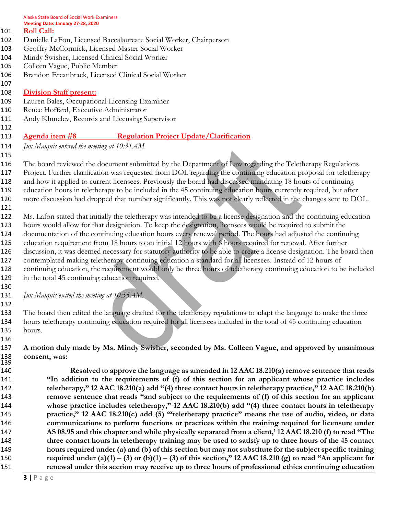Alaska State Board of Social Work Examiners **Meeting Date: January 27-28, 2020**

#### **Roll Call:**

- Danielle LaFon, Licensed Baccalaureate Social Worker, Chairperson
- Geoffry McCormick, Licensed Master Social Worker
- Mindy Swisher, Licensed Clinical Social Worker
- Colleen Vague, Public Member
- Brandon Ercanbrack, Licensed Clinical Social Worker

#### **Division Staff present:**

- Lauren Bales, Occupational Licensing Examiner
- Renee Hoffard, Executive Administrator
- Andy Khmelev, Records and Licensing Supervisor

# **Agenda item #8 Regulation Project Update/Clarification**

- *Jun Maiquis entered the meeting at 10:31AM.*
- 

 The board reviewed the document submitted by the Department of Law regarding the Teletherapy Regulations Project. Further clarification was requested from DOL regarding the continuing education proposal for teletherapy and how it applied to current licensees. Previously the board had discussed mandating 18 hours of continuing education hours in teletherapy to be included in the 45 continuing education hours currently required, but after more discussion had dropped that number significantly. This was not clearly reflected in the changes sent to DOL.

 Ms. Lafon stated that initially the teletherapy was intended to be a license designation and the continuing education hours would allow for that designation. To keep the designation, licensees would be required to submit the documentation of the continuing education hours every renewal period. The hours had adjusted the continuing education requirement from 18 hours to an initial 12 hours with 6 hours required for renewal. After further discussion, it was deemed necessary for statutory authority to be able to create a license designation. The board then contemplated making teletherapy continuing education a standard for all licensees. Instead of 12 hours of continuing education, the requirement would only be three hours of teletherapy continuing education to be included in the total 45 continuing education required.

*Jun Maiquis exited the meeting at 10:55AM.* 

 The board then edited the language drafted for the teletherapy regulations to adapt the language to make the three hours teletherapy continuing education required for all licensees included in the total of 45 continuing education hours.

#### **A motion duly made by Ms. Mindy Swisher, seconded by Ms. Colleen Vague, and approved by unanimous consent, was:**

 **Resolved to approve the language as amended in 12 AAC 18.210(a) remove sentence that reads "In addition to the requirements of (f) of this section for an applicant whose practice includes teletherapy," 12 AAC 18.210(a) add "(4) three contact hours in teletherapy practice," 12 AAC 18.210(b) remove sentence that reads "and subject to the requirements of (f) of this section for an applicant whose practice includes teletherapy," 12 AAC 18.210(b) add "(4) three contact hours in teletherapy practice," 12 AAC 18.210(c) add (5) '"teletherapy practice" means the use of audio, video, or data communications to perform functions or practices within the training required for licensure under AS 08.95 and this chapter and while physically separated from a client,' 12 AAC 18.210 (f) to read "The three contact hours in teletherapy training may be used to satisfy up to three hours of the 45 contact hours required under (a) and (b) of this section but may not substitute for the subject specific training required under (a)(1) – (3)** or (b)(1) – (3) of this section," 12 AAC 18.210 (g) to read "An applicant for **renewal under this section may receive up to three hours of professional ethics continuing education**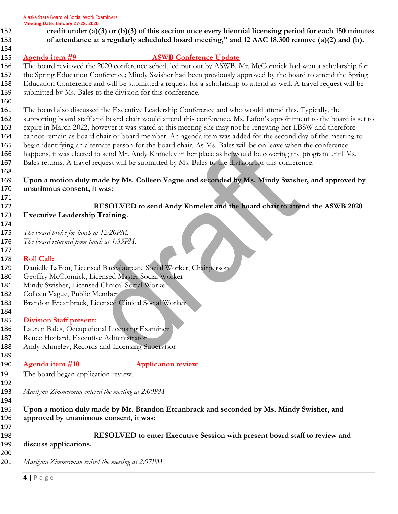Alaska State Board of Social Work Examiners

- **Meeting Date: January 27-28, 2020**
- **credit under (a)(3) or (b)(3) of this section once every biennial licensing period for each 150 minutes of attendance at a regularly scheduled board meeting," and 12 AAC 18.300 remove (a)(2) and (b).**
- **Agenda item #9 ASWB Conference Update**

 The board reviewed the 2020 conference scheduled put out by ASWB. Mr. McCormick had won a scholarship for the Spring Education Conference; Mindy Swisher had been previously approved by the board to attend the Spring Education Conference and will be submitted a request for a scholarship to attend as well. A travel request will be submitted by Ms. Bales to the division for this conference.

- The board also discussed the Executive Leadership Conference and who would attend this. Typically, the supporting board staff and board chair would attend this conference. Ms. Lafon's appointment to the board is set to expire in March 2022, however it was stated at this meeting she may not be renewing her LBSW and therefore cannot remain as board chair or board member. An agenda item was added for the second day of the meeting to begin identifying an alternate person for the board chair. As Ms. Bales will be on leave when the conference happens, it was elected to send Mr. Andy Khmelev in her place as he would be covering the program until Ms. Bales returns. A travel request will be submitted by Ms. Bales to the division for this conference.
- **Upon a motion duly made by Ms. Colleen Vague and seconded by Ms. Mindy Swisher, and approved by unanimous consent, it was:**
- **RESOLVED to send Andy Khmelev and the board chair to attend the ASWB 2020 Executive Leadership Training.**
- 

- *The board broke for lunch at 12:20PM.*
- *The board returned from lunch at 1:35PM.*

# 

- **Roll Call:**
- Danielle LaFon, Licensed Baccalaureate Social Worker, Chairperson
- Geoffry McCormick, Licensed Master Social Worker
- Mindy Swisher, Licensed Clinical Social Worker
- Colleen Vague, Public Member
- Brandon Ercanbrack, Licensed Clinical Social Worker

# **Division Staff present:**

- Lauren Bales, Occupational Licensing Examiner
- Renee Hoffard, Executive Administrator
- Andy Khmelev, Records and Licensing Supervisor
- 

- **Agenda item #10 Application review**
- The board began application review.
- *Marilynn Zimmerman entered the meeting at 2:00PM*
- 

 **Upon a motion duly made by Mr. Brandon Ercanbrack and seconded by Ms. Mindy Swisher, and approved by unanimous consent, it was:**

- **RESOLVED to enter Executive Session with present board staff to review and discuss applications.**
- *Marilynn Zimmerman exited the meeting at 2:07PM*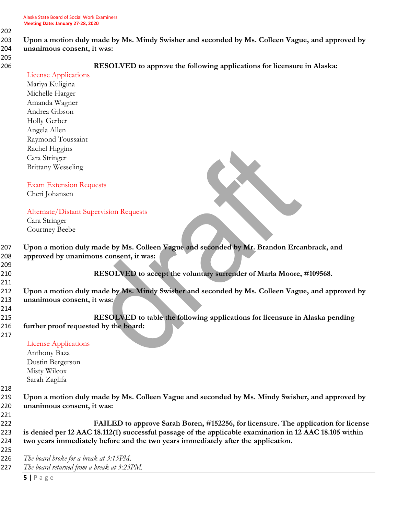# 203 **Upon a motion duly made by Ms. Mindy Swisher and seconded by Ms. Colleen Vague, and approved by**  204 **unanimous consent, it was:**

205

206 **RESOLVED to approve the following applications for licensure in Alaska:**

|     | <b>License Applications</b>                                                                             |
|-----|---------------------------------------------------------------------------------------------------------|
|     | Mariya Kuligina                                                                                         |
|     | Michelle Harger                                                                                         |
|     | Amanda Wagner                                                                                           |
|     | Andrea Gibson                                                                                           |
|     | Holly Gerber                                                                                            |
|     | Angela Allen                                                                                            |
|     | Raymond Toussaint                                                                                       |
|     | Rachel Higgins                                                                                          |
|     | Cara Stringer                                                                                           |
|     | <b>Brittany Wesseling</b>                                                                               |
|     |                                                                                                         |
|     | <b>Exam Extension Requests</b>                                                                          |
|     | Cheri Johansen                                                                                          |
|     |                                                                                                         |
|     | <b>Alternate/Distant Supervision Requests</b>                                                           |
|     | Cara Stringer                                                                                           |
|     | Courtney Beebe                                                                                          |
|     |                                                                                                         |
| 207 | Upon a motion duly made by Ms. Colleen Vague and seconded by Mr. Brandon Ercanbrack, and                |
| 208 | approved by unanimous consent, it was:                                                                  |
| 209 |                                                                                                         |
| 210 | RESOLVED to accept the voluntary surrender of Marla Moore, #109568.                                     |
| 211 |                                                                                                         |
| 212 | Upon a motion duly made by Ms. Mindy Swisher and seconded by Ms. Colleen Vague, and approved by         |
| 213 | unanimous consent, it was:                                                                              |
| 214 |                                                                                                         |
| 215 | RESOLVED to table the following applications for licensure in Alaska pending                            |
| 216 | further proof requested by the board:                                                                   |
| 217 |                                                                                                         |
|     | <b>License Applications</b>                                                                             |
|     | Anthony Baza                                                                                            |
|     | Dustin Bergerson                                                                                        |
|     | Misty Wilcox                                                                                            |
|     | Sarah Zaglifa                                                                                           |
| 218 |                                                                                                         |
| 219 | Upon a motion duly made by Ms. Colleen Vague and seconded by Ms. Mindy Swisher, and approved by         |
| 220 | unanimous consent, it was:                                                                              |
| 221 |                                                                                                         |
| 222 | FAILED to approve Sarah Boren, #152256, for licensure. The application for license                      |
| 223 | is denied per 12 AAC 18.112(1) successful passage of the applicable examination in 12 AAC 18.105 within |
| 224 | two years immediately before and the two years immediately after the application.                       |
| 225 |                                                                                                         |
| 226 | The board broke for a break at 3:15PM.                                                                  |
| 227 | The board returned from a break at 3:23PM.                                                              |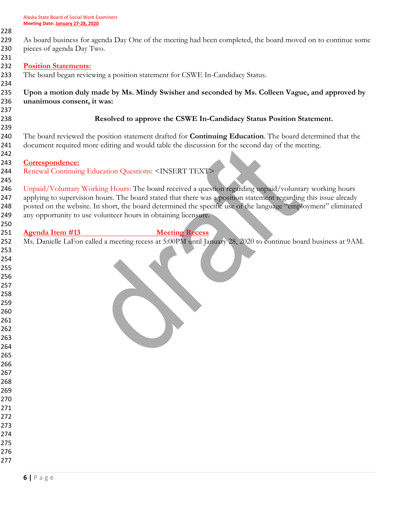- As board business for agenda Day One of the meeting had been completed, the board moved on to continue some pieces of agenda Day Two. **Position Statements:** The board began reviewing a position statement for CSWE In-Candidacy Status. **Upon a motion duly made by Ms. Mindy Swisher and seconded by Ms. Colleen Vague, and approved by unanimous consent, it was: Resolved to approve the CSWE In-Candidacy Status Position Statement.**  The board reviewed the position statement drafted for **Continuing Education**. The board determined that the document required more editing and would table the discussion for the second day of the meeting. **Correspondence:** Renewal Continuing Education Questions: <INSERT TEXT> 246 Unpaid/Voluntary Working Hours: The board received a question regarding unpaid/voluntary working hours 247 applying to supervision hours. The board stated that there was a position statement regarding this issue already 248 posted on the website. In short, the board determined the specific use of the language "employment" eliminated any opportunity to use volunteer hours in obtaining licensure. **Agenda Item #13 Meeting Recess** Ms. Danielle LaFon called a meeting recess at 5:00PM until January 28, 2020 to continue board business at 9AM.
	-
	-
	-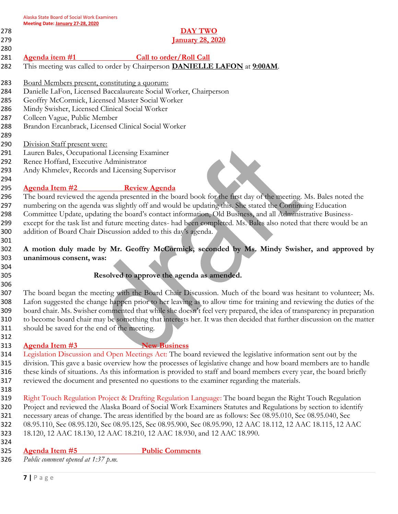### **DAY TWO January 28, 2020**

- **Agenda item #1 Call to order/Roll Call**
- This meeting was called to order by Chairperson **DANIELLE LAFON** at **9:00AM**.
- Board Members present, constituting a quorum:
- Danielle LaFon, Licensed Baccalaureate Social Worker, Chairperson
- Geoffry McCormick, Licensed Master Social Worker
- Mindy Swisher, Licensed Clinical Social Worker
- Colleen Vague, Public Member
- Brandon Ercanbrack, Licensed Clinical Social Worker
- 

- Division Staff present were:
- Lauren Bales, Occupational Licensing Examiner
- Renee Hoffard, Executive Administrator
- Andy Khmelev, Records and Licensing Supervisor

# **Agenda Item #2 Review Agenda**



 **A motion duly made by Mr. Geoffry McCormick, seconded by Ms. Mindy Swisher, and approved by unanimous consent, was:**

# **Resolved to approve the agenda as amended.**

 The board began the meeting with the Board Chair Discussion. Much of the board was hesitant to volunteer; Ms. Lafon suggested the change happen prior to her leaving as to allow time for training and reviewing the duties of the board chair. Ms. Swisher commented that while she doesn't feel very prepared, the idea of transparency in preparation to become board chair may be something that interests her. It was then decided that further discussion on the matter should be saved for the end of the meeting.

# **Agenda Item #3 New Business**

 Legislation Discussion and Open Meetings Act: The board reviewed the legislative information sent out by the division. This gave a basic overview how the processes of legislative change and how board members are to handle these kinds of situations. As this information is provided to staff and board members every year, the board briefly reviewed the document and presented no questions to the examiner regarding the materials.

- 
- 319 Right Touch Regulation Project & Drafting Regulation Language: The board began the Right Touch Regulation Project and reviewed the Alaska Board of Social Work Examiners Statutes and Regulations by section to identify necessary areas of change. The areas identified by the board are as follows: Sec 08.95.010, Sec 08.95.040, Sec 08.95.110, Sec 08.95.120, Sec 08.95.125, Sec 08.95.900, Sec 08.95.990, 12 AAC 18.112, 12 AAC 18.115, 12 AAC 18.120, 12 AAC 18.130, 12 AAC 18.210, 12 AAC 18.930, and 12 AAC 18.990.
- 
- **Agenda Item #5 Public Comments**

*Public comment opened at 1:37 p.m.*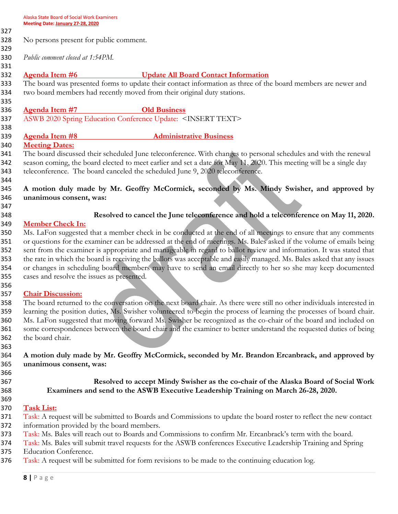No persons present for public comment.

*Public comment closed at 1:54PM.*

**Agenda Item #6 Update All Board Contact Information**

 The board was presented forms to update their contact information as three of the board members are newer and two board members had recently moved from their original duty stations.

## **Agenda Item #7 Old Business**

ASWB 2020 Spring Education Conference Update: <INSERT TEXT>

# **Agenda Item #8 Administrative Business**

# **Meeting Dates:**

 The board discussed their scheduled June teleconference. With changes to personal schedules and with the renewal 342 season coming, the board elected to meet earlier and set a date for May 11, 2020. This meeting will be a single day 343 teleconference. The board canceled the scheduled June 9, 2020 teleconference.

## **A motion duly made by Mr. Geoffry McCormick, seconded by Ms. Mindy Swisher, and approved by unanimous consent, was:**

# **Resolved to cancel the June teleconference and hold a teleconference on May 11, 2020.**

# **Member Check In:**

 Ms. LaFon suggested that a member check in be conducted at the end of all meetings to ensure that any comments or questions for the examiner can be addressed at the end of meetings. Ms. Bales asked if the volume of emails being sent from the examiner is appropriate and manageable in regard to ballot review and information. It was stated that the rate in which the board is receiving the ballots was acceptable and easily managed. Ms. Bales asked that any issues or changes in scheduling board members may have to send an email directly to her so she may keep documented cases and resolve the issues as presented.

### **Chair Discussion:**

 The board returned to the conversation on the next board chair. As there were still no other individuals interested in learning the position duties, Ms. Swisher volunteered to begin the process of learning the processes of board chair. Ms. LaFon suggested that moving forward Ms. Swisher be recognized as the co-chair of the board and included on some correspondences between the board chair and the examiner to better understand the requested duties of being the board chair.

 **A motion duly made by Mr. Geoffry McCormick, seconded by Mr. Brandon Ercanbrack, and approved by unanimous consent, was:**

### **Resolved to accept Mindy Swisher as the co-chair of the Alaska Board of Social Work Examiners and send to the ASWB Executive Leadership Training on March 26-28, 2020.**

**Task List:**

371 Task: A request will be submitted to Boards and Commissions to update the board roster to reflect the new contact information provided by the board members.

- 373 Task: Ms. Bales will reach out to Boards and Commissions to confirm Mr. Ercanbrack's term with the board.
- 374 Task: Ms. Bales will submit travel requests for the ASWB conferences Executive Leadership Training and Spring Education Conference.
- 376 Task: A request will be submitted for form revisions to be made to the continuing education log.